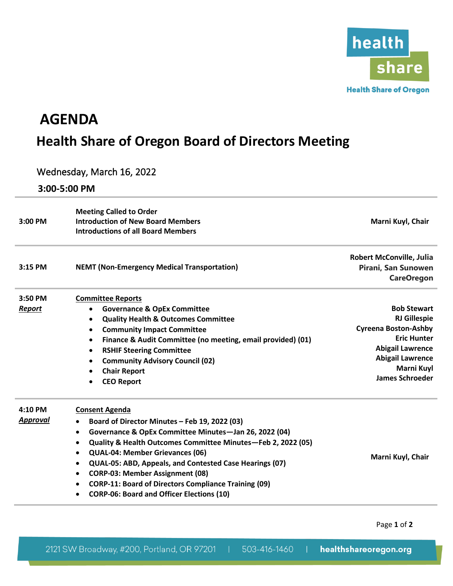

## **AGENDA Health Share of Oregon Board of Directors Meeting**

## Wednesday, March 16, 2022

**3:00-5:00 PM**

| 3:00 PM       | <b>Meeting Called to Order</b><br><b>Introduction of New Board Members</b><br><b>Introductions of all Board Members</b>    | Marni Kuyl, Chair                                                           |  |
|---------------|----------------------------------------------------------------------------------------------------------------------------|-----------------------------------------------------------------------------|--|
| $3:15$ PM     | <b>NEMT (Non-Emergency Medical Transportation)</b>                                                                         | <b>Robert McConville, Julia</b><br>Pirani, San Sunowen<br><b>CareOregon</b> |  |
| 3:50 PM       | <b>Committee Reports</b>                                                                                                   |                                                                             |  |
| <b>Report</b> | <b>Governance &amp; OpEx Committee</b><br>٠                                                                                | <b>Bob Stewart</b>                                                          |  |
|               | <b>Quality Health &amp; Outcomes Committee</b><br>$\bullet$                                                                | <b>RJ Gillespie</b><br><b>Cyreena Boston-Ashby</b>                          |  |
|               | <b>Community Impact Committee</b><br>$\bullet$<br>Finance & Audit Committee (no meeting, email provided) (01)<br>$\bullet$ | <b>Eric Hunter</b>                                                          |  |
|               | <b>RSHIF Steering Committee</b><br>$\bullet$                                                                               | <b>Abigail Lawrence</b>                                                     |  |
|               | <b>Community Advisory Council (02)</b><br>$\bullet$                                                                        | <b>Abigail Lawrence</b>                                                     |  |
|               | <b>Chair Report</b>                                                                                                        | Marni Kuyl                                                                  |  |
|               | <b>CEO Report</b>                                                                                                          | <b>James Schroeder</b>                                                      |  |
| $4:10$ PM     | <b>Consent Agenda</b>                                                                                                      |                                                                             |  |
| Approval      | Board of Director Minutes - Feb 19, 2022 (03)<br>$\bullet$                                                                 |                                                                             |  |
|               | Governance & OpEx Committee Minutes-Jan 26, 2022 (04)<br>$\bullet$                                                         |                                                                             |  |
|               | Quality & Health Outcomes Committee Minutes-Feb 2, 2022 (05)                                                               |                                                                             |  |
|               | QUAL-04: Member Grievances (06)<br>$\bullet$                                                                               | Marni Kuyl, Chair                                                           |  |
|               | QUAL-05: ABD, Appeals, and Contested Case Hearings (07)<br>$\bullet$                                                       |                                                                             |  |
|               | <b>CORP-03: Member Assignment (08)</b><br>$\bullet$                                                                        |                                                                             |  |
|               | <b>CORP-11: Board of Directors Compliance Training (09)</b>                                                                |                                                                             |  |
|               | <b>CORP-06: Board and Officer Elections (10)</b>                                                                           |                                                                             |  |

Page **1** of **2**